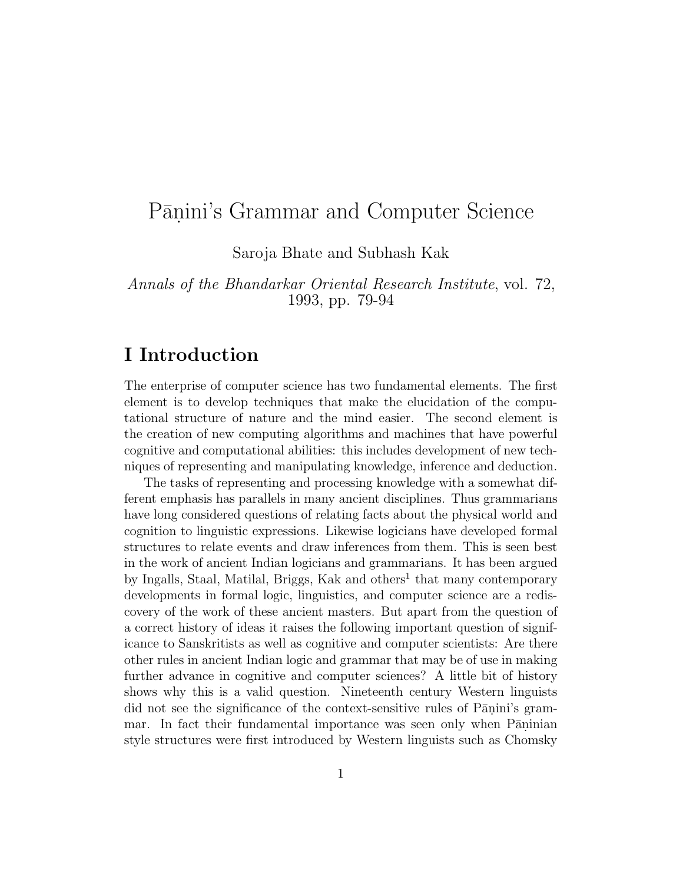# Pāṇini's Grammar and Computer Science

Saroja Bhate and Subhash Kak

Annals of the Bhandarkar Oriental Research Institute, vol. 72, 1993, pp. 79-94

## **I Introduction**

The enterprise of computer science has two fundamental elements. The first element is to develop techniques that make the elucidation of the computational structure of nature and the mind easier. The second element is the creation of new computing algorithms and machines that have powerful cognitive and computational abilities: this includes development of new techniques of representing and manipulating knowledge, inference and deduction.

The tasks of representing and processing knowledge with a somewhat different emphasis has parallels in many ancient disciplines. Thus grammarians have long considered questions of relating facts about the physical world and cognition to linguistic expressions. Likewise logicians have developed formal structures to relate events and draw inferences from them. This is seen best in the work of ancient Indian logicians and grammarians. It has been argued by Ingalls, Staal, Matilal, Briggs, Kak and others<sup>1</sup> that many contemporary developments in formal logic, linguistics, and computer science are a rediscovery of the work of these ancient masters. But apart from the question of a correct history of ideas it raises the following important question of significance to Sanskritists as well as cognitive and computer scientists: Are there other rules in ancient Indian logic and grammar that may be of use in making further advance in cognitive and computer sciences? A little bit of history shows why this is a valid question. Nineteenth century Western linguists did not see the significance of the context-sensitive rules of  $P\bar{a}$ nini's grammar. In fact their fundamental importance was seen only when Paninian style structures were first introduced by Western linguists such as Chomsky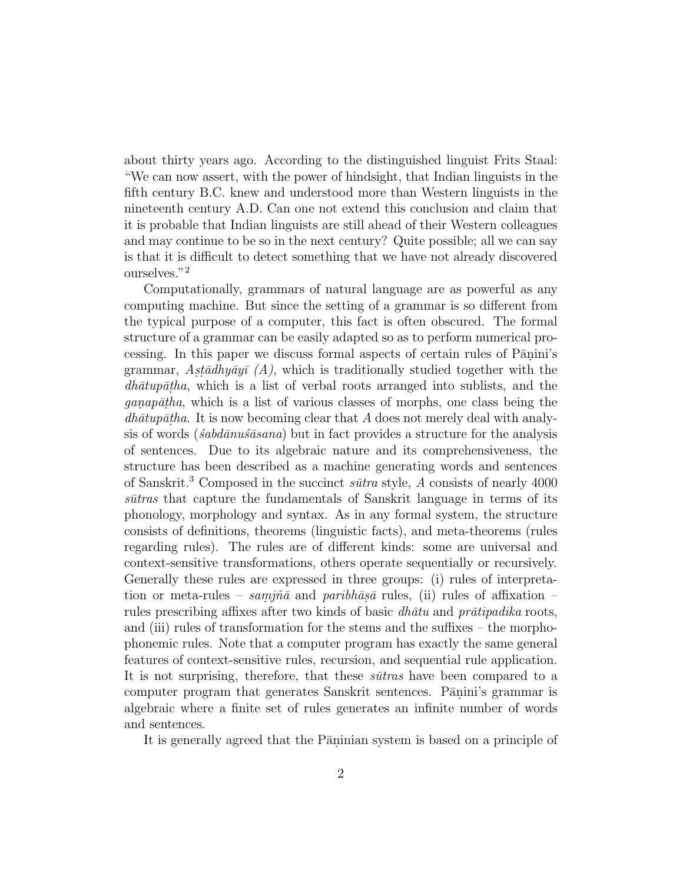about thirty years ago. According to the distinguished linguist Frits Staal: "We can now assert, with the power of hindsight, that Indian linguists in the fifth century B.C. knew and understood more than Western linguists in the nineteenth century A.D. Can one not extend this conclusion and claim that it is probable that Indian linguists are still ahead of their Western colleagues and may continue to be so in the next century? Quite possible; all we can say is that it is difficult to detect something that we have not already discovered ourselves."<sup>2</sup>

Computationally, grammars of natural language are as powerful as any computing machine. But since the setting of a grammar is so different from the typical purpose of a computer, this fact is often obscured. The formal structure of a grammar can be easily adapted so as to perform numerical processing. In this paper we discuss formal aspects of certain rules of Pānini's grammar, Ast $\bar{a}dhy\bar{a}y\bar{i}$  (A), which is traditionally studied together with the  $dh\bar{a}tup\bar{a}tha$ , which is a list of verbal roots arranged into sublists, and the  $\gamma$  ganapatha, which is a list of various classes of morphs, one class being the  $dh\bar{a}tup\bar{a}tha$ . It is now becoming clear that A does not merely deal with analysis of words ( $\acute{s}abd\bar{a}nu\bar{s}asana$ ) but in fact provides a structure for the analysis of sentences. Due to its algebraic nature and its comprehensiveness, the structure has been described as a machine generating words and sentences of Sanskrit.<sup>3</sup> Composed in the succinct s $\bar{u}$ tra style, A consists of nearly 4000  $s\bar{u}$ tras that capture the fundamentals of Sanskrit language in terms of its phonology, morphology and syntax. As in any formal system, the structure consists of definitions, theorems (linguistic facts), and meta-theorems (rules regarding rules). The rules are of different kinds: some are universal and context-sensitive transformations, others operate sequentially or recursively. Generally these rules are expressed in three groups: (i) rules of interpretation or meta-rules – samina and paribh $\bar{a}$ s rules, (ii) rules of affixation – rules prescribing affixes after two kinds of basic  $dh\bar{a}tu$  and pr $\bar{a}ti$ padika roots, and (iii) rules of transformation for the stems and the suffixes – the morphophonemic rules. Note that a computer program has exactly the same general features of context-sensitive rules, recursion, and sequential rule application. It is not surprising, therefore, that these  $s\bar{u}$ tras have been compared to a computer program that generates Sanskrit sentences. Pānini's grammar is algebraic where a finite set of rules generates an infinite number of words and sentences.

It is generally agreed that the Paninian system is based on a principle of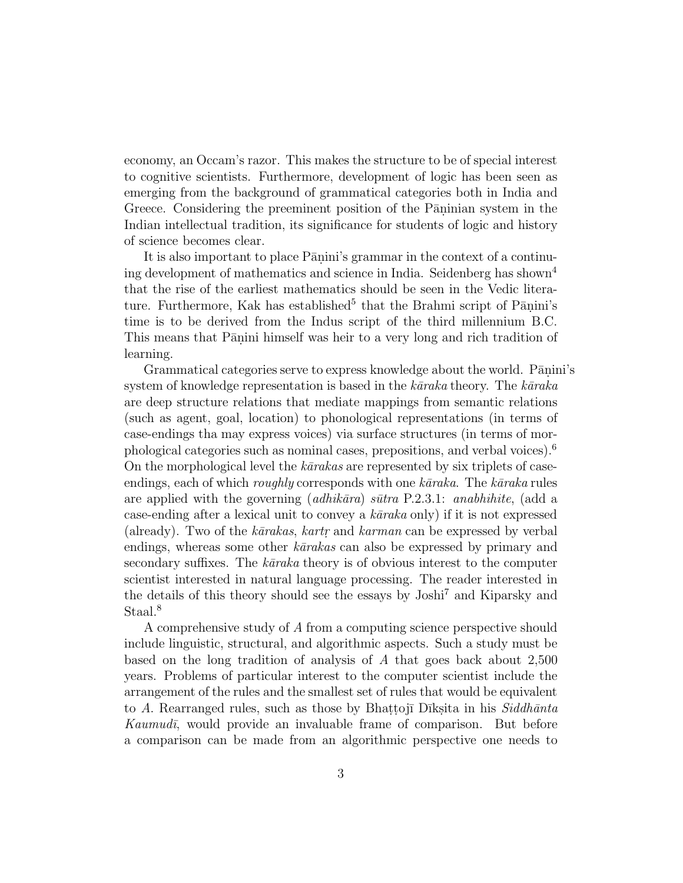economy, an Occam's razor. This makes the structure to be of special interest to cognitive scientists. Furthermore, development of logic has been seen as emerging from the background of grammatical categories both in India and Greece. Considering the preeminent position of the Paninian system in the Indian intellectual tradition, its significance for students of logic and history of science becomes clear.

It is also important to place Pānini's grammar in the context of a continuing development of mathematics and science in India. Seidenberg has shown<sup>4</sup> that the rise of the earliest mathematics should be seen in the Vedic literature. Furthermore, Kak has established<sup>5</sup> that the Brahmi script of P $\overline{a}$ nini's time is to be derived from the Indus script of the third millennium B.C. This means that Pānini himself was heir to a very long and rich tradition of learning.

Grammatical categories serve to express knowledge about the world. Pānini's system of knowledge representation is based in the  $k\bar{a}raka$  theory. The  $k\bar{a}raka$ are deep structure relations that mediate mappings from semantic relations (such as agent, goal, location) to phonological representations (in terms of case-endings tha may express voices) via surface structures (in terms of morphological categories such as nominal cases, prepositions, and verbal voices).<sup>6</sup> On the morphological level the  $k\bar{a}rakas$  are represented by six triplets of caseendings, each of which *roughly* corresponds with one  $k\bar{a}raka$ . The  $k\bar{a}raka$  rules are applied with the governing  $(adhik\bar{a}ra) s\bar{u}tra$  P.2.3.1: anabhihite, (add a case-ending after a lexical unit to convey a  $k\bar{a}raka$  only) if it is not expressed (already). Two of the  $k\bar{a}rakas$ ,  $karr$  and  $karman$  can be expressed by verbal endings, whereas some other  $k\bar{a}rakas$  can also be expressed by primary and secondary suffixes. The kāraka theory is of obvious interest to the computer scientist interested in natural language processing. The reader interested in the details of this theory should see the essays by Joshi<sup>7</sup> and Kiparsky and Staal.<sup>8</sup>

A comprehensive study of A from a computing science perspective should include linguistic, structural, and algorithmic aspects. Such a study must be based on the long tradition of analysis of A that goes back about 2,500 years. Problems of particular interest to the computer scientist include the arrangement of the rules and the smallest set of rules that would be equivalent to A. Rearranged rules, such as those by Bhattojī Dīksita in his  $Siddhānta$  $Kaumud\bar{i}$ , would provide an invaluable frame of comparison. But before a comparison can be made from an algorithmic perspective one needs to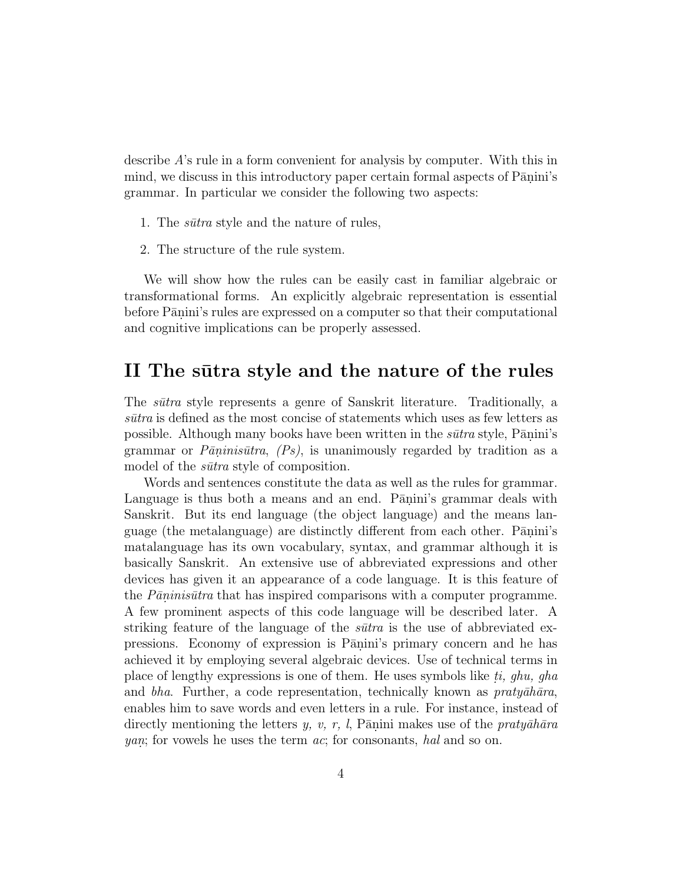describe A's rule in a form convenient for analysis by computer. With this in mind, we discuss in this introductory paper certain formal aspects of Pānini's grammar. In particular we consider the following two aspects:

- 1. The *sūtra* style and the nature of rules,
- 2. The structure of the rule system.

We will show how the rules can be easily cast in familiar algebraic or transformational forms. An explicitly algebraic representation is essential before Pānini's rules are expressed on a computer so that their computational and cognitive implications can be properly assessed.

### II The sūtra style and the nature of the rules

The *sūtra* style represents a genre of Sanskrit literature. Traditionally, a  $s\bar{u}tr\alpha$  is defined as the most concise of statements which uses as few letters as possible. Although many books have been written in the  $s\bar{u}$ tra style, P $\bar{a}$ nini's grammar or  $P\bar{a}$ ninis $\bar{u}tra$ ,  $(Ps)$ , is unanimously regarded by tradition as a model of the *sūtra* style of composition.

Words and sentences constitute the data as well as the rules for grammar. Language is thus both a means and an end. Panini's grammar deals with Sanskrit. But its end language (the object language) and the means language (the metalanguage) are distinctly different from each other. Pānini's matalanguage has its own vocabulary, syntax, and grammar although it is basically Sanskrit. An extensive use of abbreviated expressions and other devices has given it an appearance of a code language. It is this feature of the  $P\bar{a}n\bar{n}is\bar{u}tr\bar{a}$  that has inspired comparisons with a computer programme. A few prominent aspects of this code language will be described later. A striking feature of the language of the  $s\bar{u}$  is the use of abbreviated expressions. Economy of expression is Pāṇini's primary concern and he has achieved it by employing several algebraic devices. Use of technical terms in place of lengthy expressions is one of them. He uses symbols like ti, ghu, gha and bha. Further, a code representation, technically known as  $praty\bar{a}h\bar{a}ra$ , enables him to save words and even letters in a rule. For instance, instead of directly mentioning the letters y, v, r, l, Pānini makes use of the praty $\bar{a}h\bar{a}ra$ *yan*; for vowels he uses the term  $ac$ ; for consonants, hal and so on.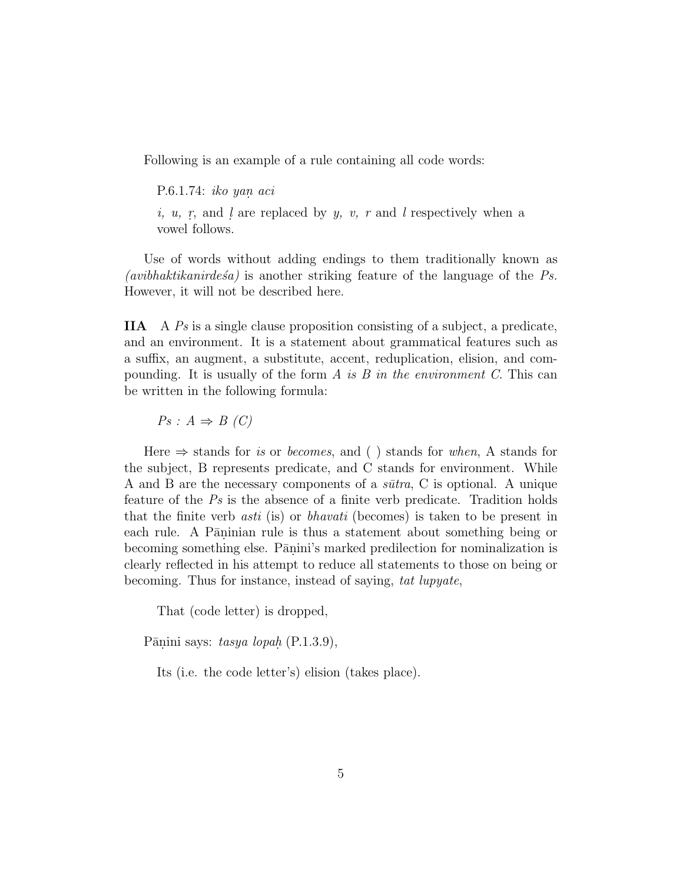Following is an example of a rule containing all code words:

P.6.1.74: iko yan. aci i,  $u$ ,  $r$ , and  $l$  are replaced by  $y$ ,  $v$ ,  $r$  and  $l$  respectively when a vowel follows.

Use of words without adding endings to them traditionally known as (avibhaktikanirdes<sup>a</sup>) is another striking feature of the language of the  $Ps$ . However, it will not be described here.

**IIA** A Ps is a single clause proposition consisting of a subject, a predicate, and an environment. It is a statement about grammatical features such as a suffix, an augment, a substitute, accent, reduplication, elision, and compounding. It is usually of the form A is B in the environment C. This can be written in the following formula:

 $Ps: A \Rightarrow B(C)$ 

Here  $\Rightarrow$  stands for *is* or *becomes*, and () stands for *when*, A stands for the subject, B represents predicate, and C stands for environment. While A and B are the necessary components of a  $sūtra$ , C is optional. A unique feature of the Ps is the absence of a finite verb predicate. Tradition holds that the finite verb asti (is) or bhavati (becomes) is taken to be present in each rule. A Pāninian rule is thus a statement about something being or becoming something else. Pānini's marked predilection for nominalization is clearly reflected in his attempt to reduce all statements to those on being or becoming. Thus for instance, instead of saying, tat lupyate,

That (code letter) is dropped,

Pānini says: tasya lopah  $(P.1.3.9)$ ,

Its (i.e. the code letter's) elision (takes place).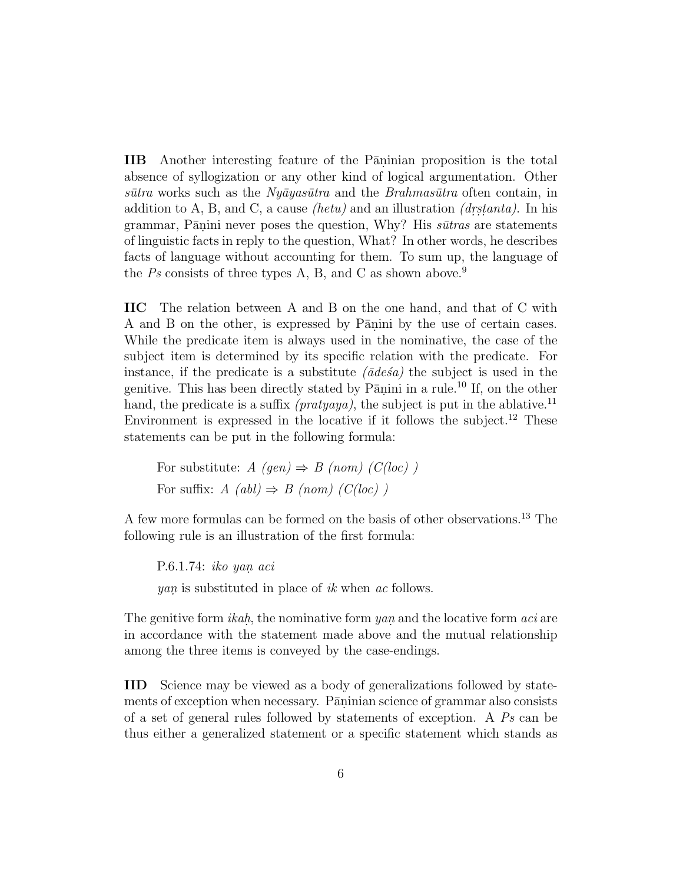**IIB** Another interesting feature of the Paninian proposition is the total absence of syllogization or any other kind of logical argumentation. Other s $\bar{u}$ tra works such as the Ny $\bar{a}y$ as $\bar{u}t$ ra and the Brahmas $\bar{u}t$ ra often contain, in addition to A, B, and C, a cause *(hetu)* and an illustration *(drstanta)*. In his grammar, Pānini never poses the question, Why? His  $s\bar{u}$ tras are statements of linguistic facts in reply to the question, What? In other words, he describes facts of language without accounting for them. To sum up, the language of the Ps consists of three types A, B, and C as shown above.<sup>9</sup>

**IIC** The relation between A and B on the one hand, and that of C with A and B on the other, is expressed by Panini by the use of certain cases. While the predicate item is always used in the nominative, the case of the subject item is determined by its specific relation with the predicate. For instance, if the predicate is a substitute  $(\bar{a}de\acute{a}a)$  the subject is used in the genitive. This has been directly stated by  $\overline{P}$  animi in a rule.<sup>10</sup> If, on the other hand, the predicate is a suffix *(pratyaya)*, the subject is put in the ablative.<sup>11</sup> Environment is expressed in the locative if it follows the subject.<sup>12</sup> These statements can be put in the following formula:

For substitute:  $A$  (gen)  $\Rightarrow$  B (nom) (C(loc)) For suffix:  $A (abl) \Rightarrow B (nom) (C(loc) )$ 

A few more formulas can be formed on the basis of other observations.<sup>13</sup> The following rule is an illustration of the first formula:

P.6.1.74: iko yan. aci *yan* is substituted in place of ik when ac follows.

The genitive form *ikah*, the nominative form  $yan$  and the locative form  $aci$  are in accordance with the statement made above and the mutual relationship among the three items is conveyed by the case-endings.

**IID** Science may be viewed as a body of generalizations followed by statements of exception when necessary. Pāninian science of grammar also consists of a set of general rules followed by statements of exception. A  $Ps$  can be thus either a generalized statement or a specific statement which stands as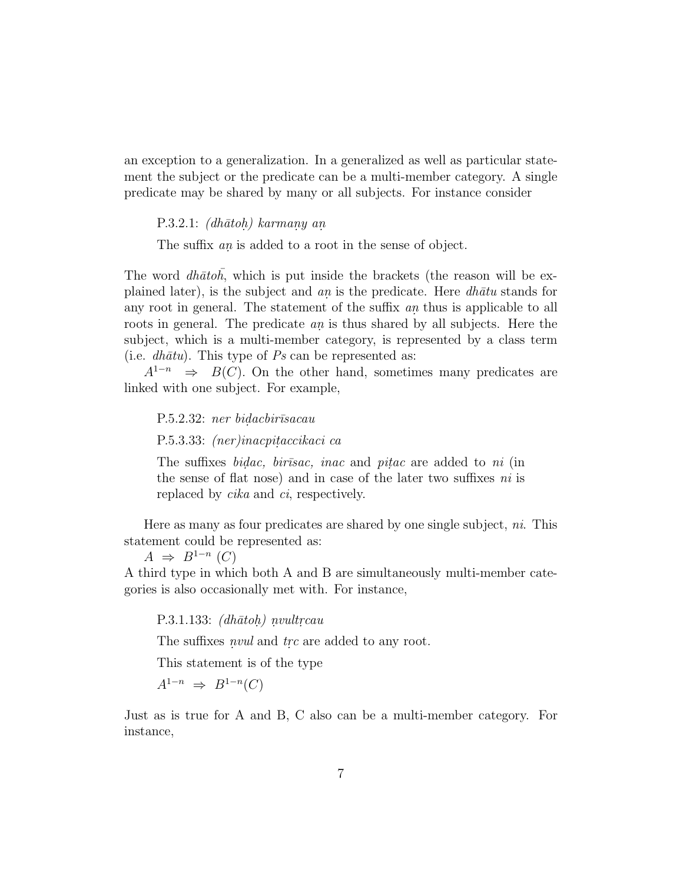an exception to a generalization. In a generalized as well as particular statement the subject or the predicate can be a multi-member category. A single predicate may be shared by many or all subjects. For instance consider

P.3.2.1:  $(dh\bar{a}toh)$  karmany an.

The suffix an is added to a root in the sense of object.

The word  $dh\bar{a}to\bar{h}$ , which is put inside the brackets (the reason will be explained later), is the subject and an is the predicate. Here  $dh\bar{a}tu$  stands for any root in general. The statement of the suffix  $an$  thus is applicable to all roots in general. The predicate  $an$  is thus shared by all subjects. Here the subject, which is a multi-member category, is represented by a class term (i.e.  $dh\bar{a}tu$ ). This type of Ps can be represented as:

 $A^{1-n} \Rightarrow B(C)$ . On the other hand, sometimes many predicates are linked with one subject. For example,

P.5.2.32: ner bidacbirīsacau P.5.3.33: *(ner)inacpitaccikaci ca* 

The suffixes *bidac*, *birosac*, *inac* and *pitac* are added to *ni* (in the sense of flat nose) and in case of the later two suffixes ni is replaced by *cika* and *ci*, respectively.

Here as many as four predicates are shared by one single subject, *ni*. This statement could be represented as:

 $A \Rightarrow B^{1-n}$  (C)

A third type in which both A and B are simultaneously multi-member categories is also occasionally met with. For instance,

P.3.1.133:  $(dh\bar{a}toh)$  nvultrcau

The suffixes *nvul* and trc are added to any root.

This statement is of the type

 $A^{1-n} \Rightarrow B^{1-n}(C)$ 

Just as is true for A and B, C also can be a multi-member category. For instance,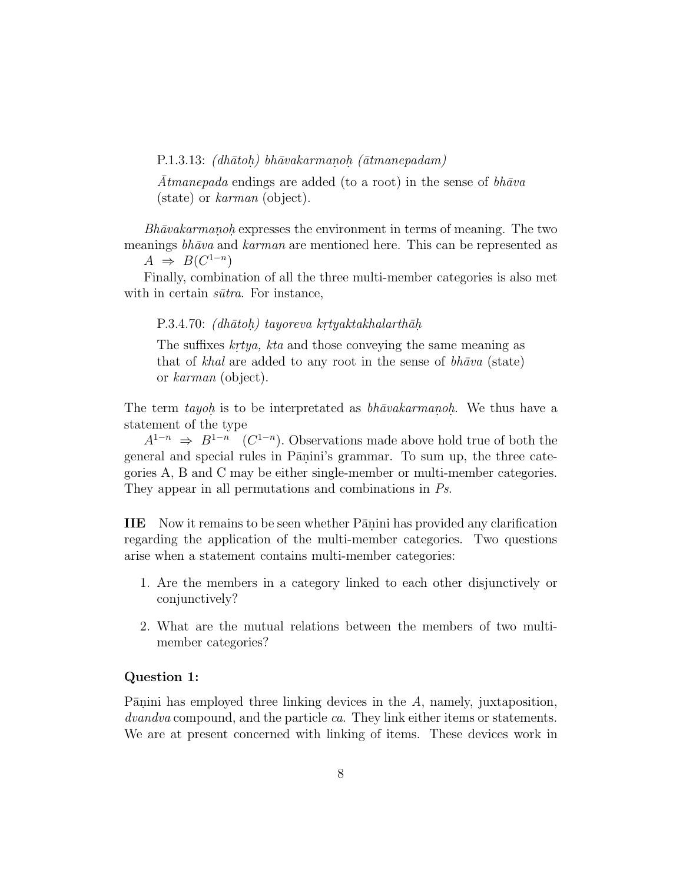P.1.3.13:  $(dh\bar{a}toh)$  bh $\bar{a}vakarmanoh$  ( $\bar{a}tmanepadam$ )

Atmanepada endings are added (to a root) in the sense of  $bh\bar{a}va$ (state) or karman (object).

 $Bh\bar{a}vakarmanoh$  expresses the environment in terms of meaning. The two meanings  $bh\bar{a}va$  and  $karman$  are mentioned here. This can be represented as  $A \Rightarrow B(C^{1-n})$ 

Finally, combination of all the three multi-member categories is also met with in certain  $s\bar{u}$ tra. For instance,

P.3.4.70: (dh $\bar{a}$ toh) tayoreva krtyaktakhalarth $\bar{a}$ h

The suffixes krtya, kta and those conveying the same meaning as that of khal are added to any root in the sense of  $bh\bar{a}va$  (state) or karman (object).

The term tayoh is to be interpretated as  $bh\bar{a}vakarmanoh$ . We thus have a statement of the type

 $A^{1-n} \Rightarrow B^{1-n}$  (C<sup>1-n</sup>). Observations made above hold true of both the general and special rules in Pānini's grammar. To sum up, the three categories A, B and C may be either single-member or multi-member categories. They appear in all permutations and combinations in Ps.

**IIE** Now it remains to be seen whether Pānini has provided any clarification regarding the application of the multi-member categories. Two questions arise when a statement contains multi-member categories:

- 1. Are the members in a category linked to each other disjunctively or conjunctively?
- 2. What are the mutual relations between the members of two multimember categories?

#### **Question 1:**

Pānini has employed three linking devices in the  $A$ , namely, juxtaposition, dvandva compound, and the particle ca. They link either items or statements. We are at present concerned with linking of items. These devices work in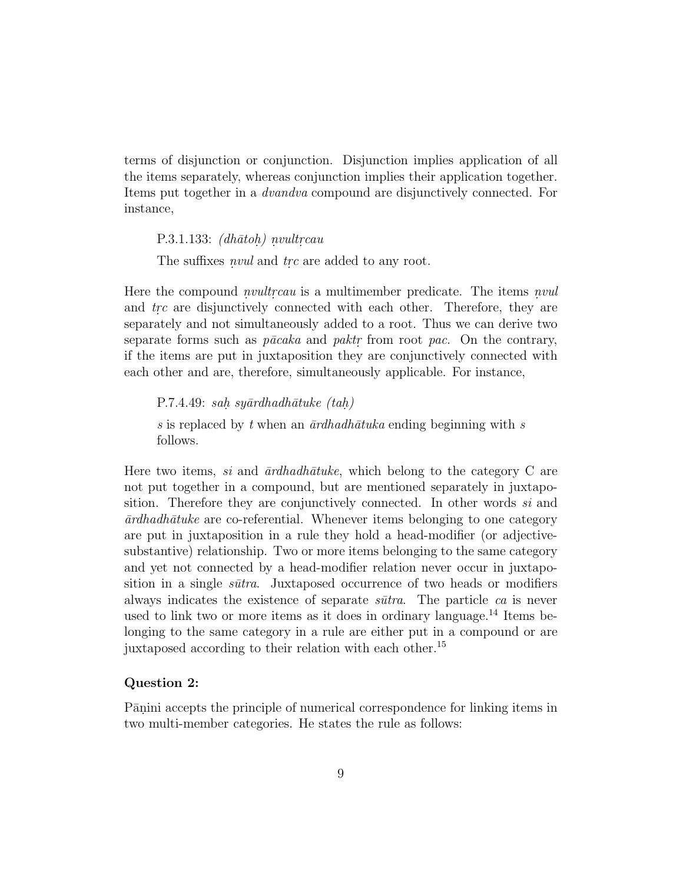terms of disjunction or conjunction. Disjunction implies application of all the items separately, whereas conjunction implies their application together. Items put together in a dvandva compound are disjunctively connected. For instance,

P.3.1.133:  $(dh\bar{a}toh)$  nvultrcau

The suffixes *nvul* and trc are added to any root.

Here the compound *nvultreau* is a multimember predicate. The items *nvul* and trc are disjunctively connected with each other. Therefore, they are separately and not simultaneously added to a root. Thus we can derive two separate forms such as  $p\bar{a}cak$  and paktr from root pac. On the contrary, if the items are put in juxtaposition they are conjunctively connected with each other and are, therefore, simultaneously applicable. For instance,

P.7.4.49: sah. sy $\bar{a}$ rdhadh $\bar{a}$ tuke (tah.) s is replaced by t when an  $\bar{a}$ rdhadh $\bar{a}$ tuka ending beginning with s follows.

Here two items, si and  $\bar{a}r dha dh\bar{a}tuke$ , which belong to the category C are not put together in a compound, but are mentioned separately in juxtaposition. Therefore they are conjunctively connected. In other words si and  $\bar{a}$ rdhadh $\bar{a}$ tuke are co-referential. Whenever items belonging to one category are put in juxtaposition in a rule they hold a head-modifier (or adjectivesubstantive) relationship. Two or more items belonging to the same category and yet not connected by a head-modifier relation never occur in juxtaposition in a single  $s\bar{u}tra$ . Juxtaposed occurrence of two heads or modifiers always indicates the existence of separate  $s\bar{u}$ . The particle ca is never used to link two or more items as it does in ordinary language.<sup>14</sup> Items belonging to the same category in a rule are either put in a compound or are juxtaposed according to their relation with each other.<sup>15</sup>

#### **Question 2:**

Pānini accepts the principle of numerical correspondence for linking items in two multi-member categories. He states the rule as follows: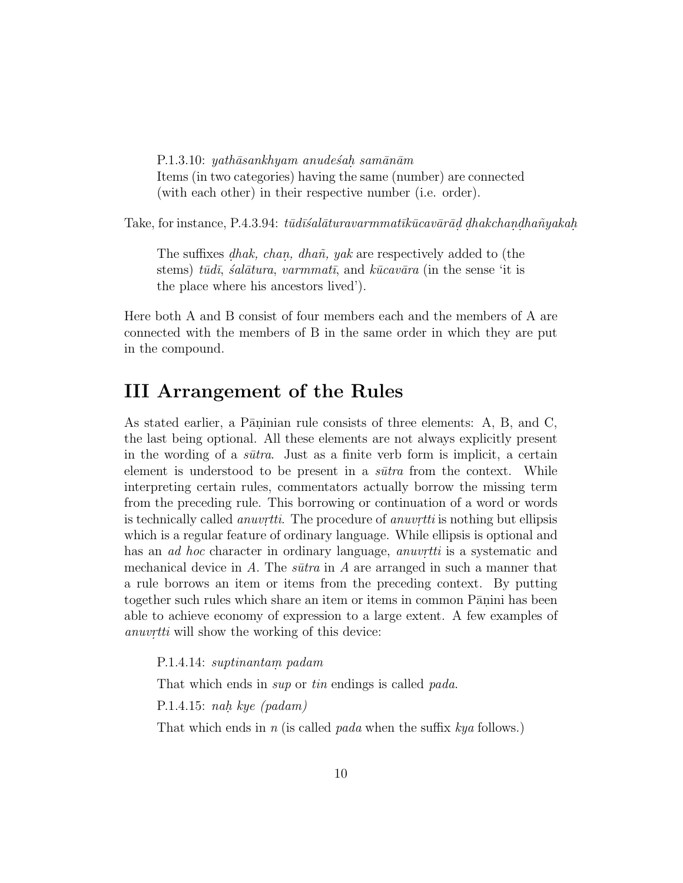P.1.3.10: yath $\bar{a}$ sankhyam anudes $\acute{a}$ h sam $\bar{a}$ n $\bar{a}$ m Items (in two categories) having the same (number) are connected (with each other) in their respective number (i.e. order).

Take, for instance, P.4.3.94:  $t\bar{u}d\bar{s}al\bar{a}turavarmmat\bar{k}\bar{u}cav\bar{a}\bar{a}d\, dhakchandha\tilde{n}yakah.$ 

The suffixes *dhak, chan, dhañ, yak* are respectively added to (the stems) tūdī, salātura, varmmatī, and kūcavāra (in the sense 'it is the place where his ancestors lived').

Here both A and B consist of four members each and the members of A are connected with the members of B in the same order in which they are put in the compound.

## **III Arrangement of the Rules**

As stated earlier, a Pāninian rule consists of three elements: A, B, and C, the last being optional. All these elements are not always explicitly present in the wording of a  $sūtra$ . Just as a finite verb form is implicit, a certain element is understood to be present in a  $s\bar{u}$ tra from the context. While interpreting certain rules, commentators actually borrow the missing term from the preceding rule. This borrowing or continuation of a word or words is technically called *anuvrtti*. The procedure of *anuvrtti* is nothing but ellipsis which is a regular feature of ordinary language. While ellipsis is optional and has an *ad hoc* character in ordinary language, *anuvrtti* is a systematic and mechanical device in  $A$ . The  $s\bar{u}$ tra in  $A$  are arranged in such a manner that a rule borrows an item or items from the preceding context. By putting together such rules which share an item or items in common Pānini has been able to achieve economy of expression to a large extent. A few examples of anuvrtti will show the working of this device:

P.1.4.14: suptinantam. padam

That which ends in sup or tin endings is called pada.

P.1.4.15: nah. kye (padam)

That which ends in n (is called pada when the suffix  $kya$  follows.)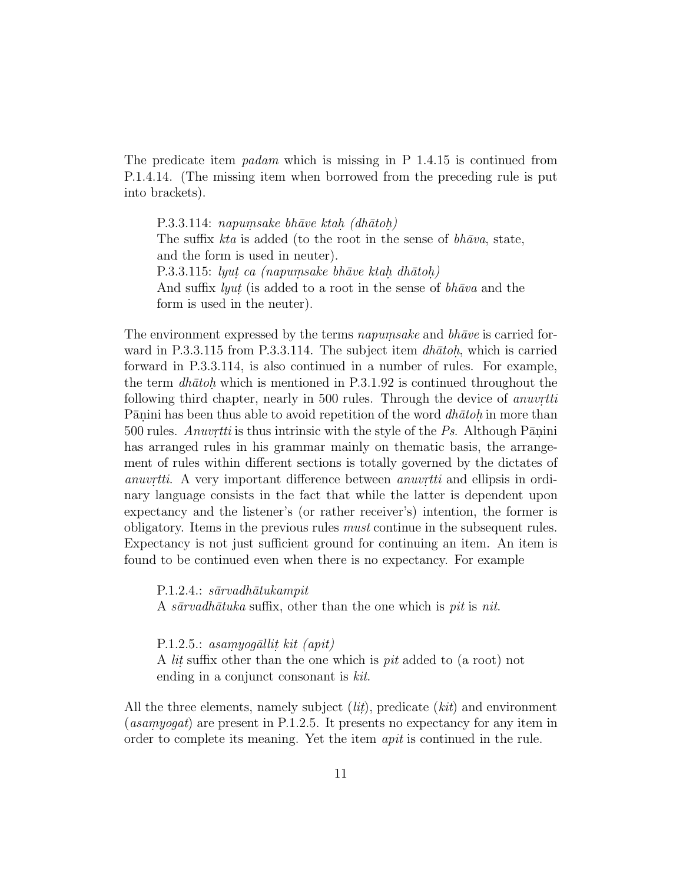The predicate item *padam* which is missing in P  $1.4.15$  is continued from P.1.4.14. (The missing item when borrowed from the preceding rule is put into brackets).

 $P.3.3.114:$  napumsake bhāve ktah. (dhātoh) The suffix  $kta$  is added (to the root in the sense of  $bh\bar{a}va$ , state, and the form is used in neuter). P.3.3.115: lyut ca (napumsake bhāve ktah. dhātoh.) And suffix *lyut* (is added to a root in the sense of  $bh\bar{a}va$  and the form is used in the neuter).

The environment expressed by the terms *napumsake* and  $bh\bar{a}ve$  is carried forward in P.3.3.115 from P.3.3.114. The subject item  $dh\bar{a}toh$ , which is carried forward in P.3.3.114, is also continued in a number of rules. For example, the term  $dh\bar{a}toh$ , which is mentioned in P.3.1.92 is continued throughout the following third chapter, nearly in  $500$  rules. Through the device of *anuvrtti* Pānini has been thus able to avoid repetition of the word  $dh\bar{a}toh$  in more than 500 rules. Anuvrtti is thus intrinsic with the style of the Ps. Although Pānini has arranged rules in his grammar mainly on thematic basis, the arrangement of rules within different sections is totally governed by the dictates of anuvrtti. A very important difference between anuvrtti and ellipsis in ordinary language consists in the fact that while the latter is dependent upon expectancy and the listener's (or rather receiver's) intention, the former is obligatory. Items in the previous rules must continue in the subsequent rules. Expectancy is not just sufficient ground for continuing an item. An item is found to be continued even when there is no expectancy. For example

P.1.2.4.: sārvadhātukampit A sarvadhatuka suffix, other than the one which is pit is nit.

P.1.2.5.: asamyoq $\bar{a}$ llit kit (apit) A *lit* suffix other than the one which is *pit* added to (a root) not ending in a conjunct consonant is kit.

All the three elements, namely subject  $(iit)$ , predicate  $(kit)$  and environment (*asamyogat*) are present in P.1.2.5. It presents no expectancy for any item in order to complete its meaning. Yet the item apit is continued in the rule.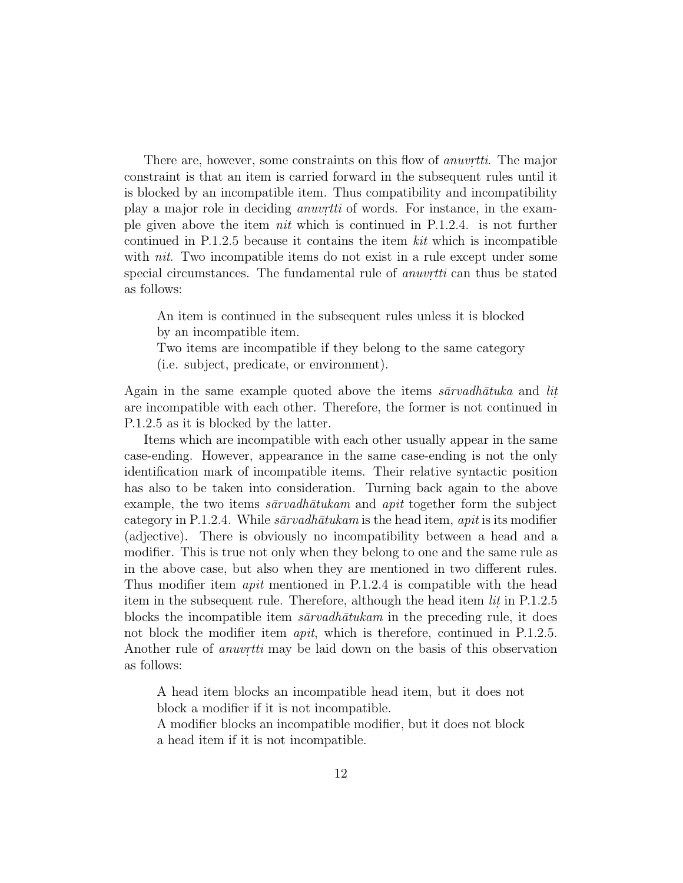There are, however, some constraints on this flow of *anuvrtti*. The major constraint is that an item is carried forward in the subsequent rules until it is blocked by an incompatible item. Thus compatibility and incompatibility play a major role in deciding *anuvretti* of words. For instance, in the example given above the item nit which is continued in P.1.2.4. is not further continued in P.1.2.5 because it contains the item kit which is incompatible with *nit*. Two incompatible items do not exist in a rule except under some special circumstances. The fundamental rule of *anuvretti* can thus be stated as follows:

An item is continued in the subsequent rules unless it is blocked by an incompatible item.

Two items are incompatible if they belong to the same category (i.e. subject, predicate, or environment).

Again in the same example quoted above the items  $s\bar{a}r\nu a d\hbar \bar{a} t u k a$  and lit. are incompatible with each other. Therefore, the former is not continued in P.1.2.5 as it is blocked by the latter.

Items which are incompatible with each other usually appear in the same case-ending. However, appearance in the same case-ending is not the only identification mark of incompatible items. Their relative syntactic position has also to be taken into consideration. Turning back again to the above example, the two items  $s\bar{a}r\nu a h\bar{a}t\nu k$  and apit together form the subject category in P.1.2.4. While  $s\bar{a}r\nu a dh\bar{a}t\nu k\bar{a}m$  is the head item, apit is its modifier (adjective). There is obviously no incompatibility between a head and a modifier. This is true not only when they belong to one and the same rule as in the above case, but also when they are mentioned in two different rules. Thus modifier item *apit* mentioned in P.1.2.4 is compatible with the head item in the subsequent rule. Therefore, although the head item *lit* in P.1.2.5 blocks the incompatible item  $s\bar{a}r\nu a dh\bar{a}t\nu k$  in the preceding rule, it does not block the modifier item *apit*, which is therefore, continued in P.1.2.5. Another rule of *anuvrtti* may be laid down on the basis of this observation as follows:

A head item blocks an incompatible head item, but it does not block a modifier if it is not incompatible.

A modifier blocks an incompatible modifier, but it does not block a head item if it is not incompatible.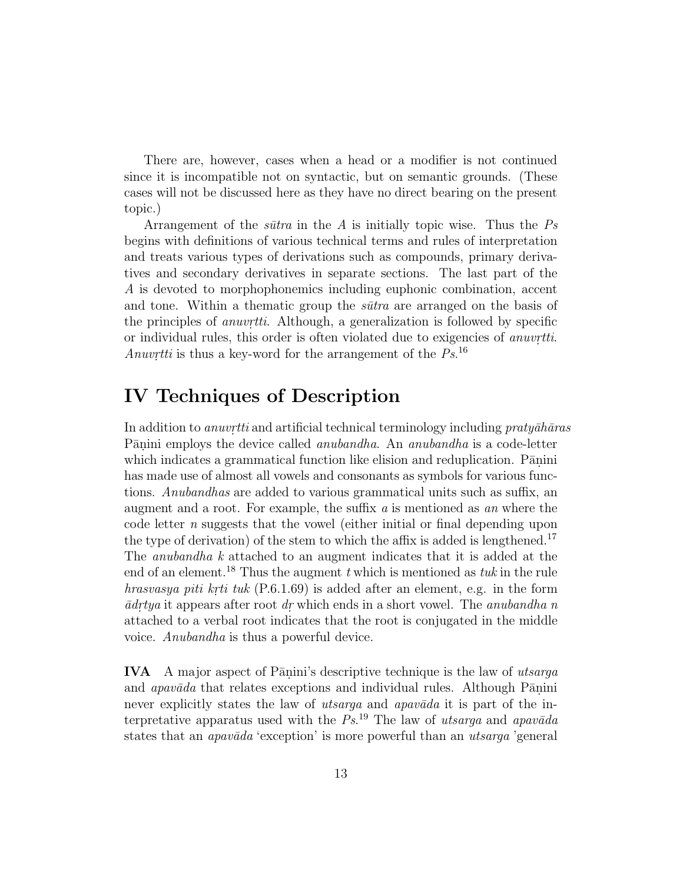There are, however, cases when a head or a modifier is not continued since it is incompatible not on syntactic, but on semantic grounds. (These cases will not be discussed here as they have no direct bearing on the present topic.)

Arrangement of the *sūtra* in the A is initially topic wise. Thus the  $Ps$ begins with definitions of various technical terms and rules of interpretation and treats various types of derivations such as compounds, primary derivatives and secondary derivatives in separate sections. The last part of the A is devoted to morphophonemics including euphonic combination, accent and tone. Within a thematic group the  $s\bar{u}$ tra are arranged on the basis of the principles of *anuvriti.* Although, a generalization is followed by specific or individual rules, this order is often violated due to exigencies of *anuvrtiti*. Anuvrtti is thus a key-word for the arrangement of the  $Ps^{16}$ 

# **IV Techniques of Description**

In addition to *anuvritti* and artificial technical terminology including *praty* $\bar{a}h\bar{a}ras$ Pānini employs the device called *anubandha*. An *anubandha* is a code-letter which indicates a grammatical function like elision and reduplication. Pānini has made use of almost all vowels and consonants as symbols for various functions. Anubandhas are added to various grammatical units such as suffix, an augment and a root. For example, the suffix a is mentioned as an where the code letter  $n$  suggests that the vowel (either initial or final depending upon the type of derivation) of the stem to which the affix is added is lengthened.<sup>17</sup> The anubandha k attached to an augment indicates that it is added at the end of an element.<sup>18</sup> Thus the augment t which is mentioned as tuk in the rule hrasvasya piti krti tuk  $(P.6.1.69)$  is added after an element, e.g. in the form  $\bar{a}$ drtya it appears after root dr which ends in a short vowel. The anubandha n attached to a verbal root indicates that the root is conjugated in the middle voice. Anubandha is thus a powerful device.

**IVA** A major aspect of P $\overline{a}$ nini's descriptive technique is the law of utsarga and *apavada* that relates exceptions and individual rules. Although Panini never explicitly states the law of *utsarga* and *apavada* it is part of the interpretative apparatus used with the  $Ps^{19}$ . The law of utsarga and apavada states that an *apavada* 'exception' is more powerful than an *utsarga* 'general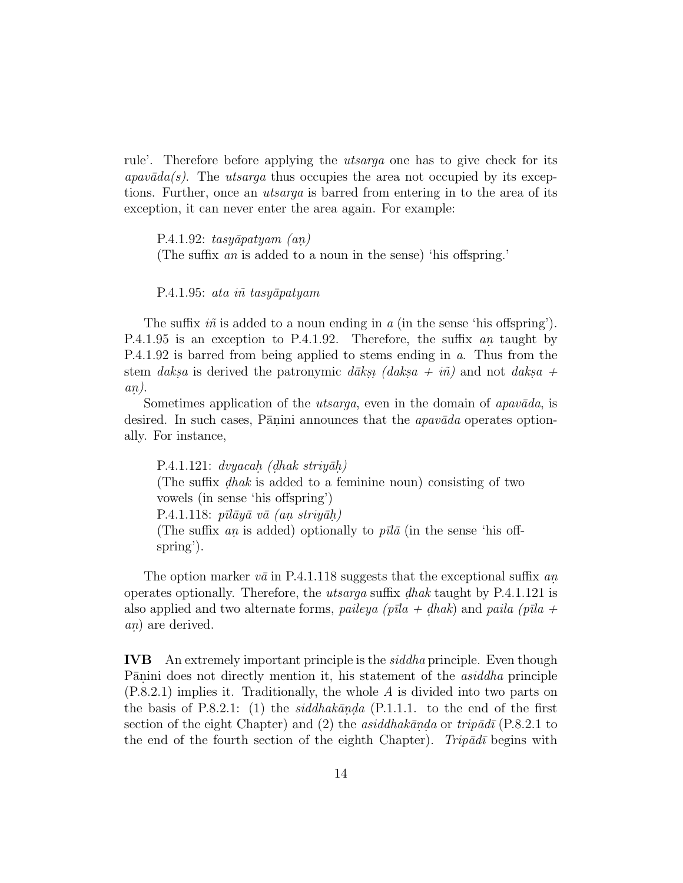rule'. Therefore before applying the utsarga one has to give check for its  $apav\bar{a}da(s)$ . The utsarga thus occupies the area not occupied by its exceptions. Further, once an utsarga is barred from entering in to the area of its exception, it can never enter the area again. For example:

P.4.1.92: tasy $\bar{a}$ patyam (an) (The suffix an is added to a noun in the sense) 'his offspring.'

P.4.1.95: ata iñ tasyāpatyam

The suffix  $i\tilde{n}$  is added to a noun ending in a (in the sense 'his offspring'). P.4.1.95 is an exception to P.4.1.92. Therefore, the suffix an taught by P.4.1.92 is barred from being applied to stems ending in a. Thus from the stem daksa is derived the patronymic dakse. (daks  $a + i\tilde{n}$ ) and not daks  $a + i\tilde{n}$  $an$ .

Sometimes application of the *utsarga*, even in the domain of *apavada*, is desired. In such cases, Pānini announces that the  $apavāda$  operates optionally. For instance,

P.4.1.121: dvyacah. (dhak striyāh.) (The suffix  $dhak$  is added to a feminine noun) consisting of two vowels (in sense 'his offspring') P.4.1.118:  $p\bar{u}q\bar{u}v\bar{a}$  (an striy $\bar{a}h$ ) (The suffix an is added) optionally to  $p\bar{u}\bar{a}$  (in the sense 'his offspring').

The option marker  $v\bar{a}$  in P.4.1.118 suggests that the exceptional suffix an. operates optionally. Therefore, the *utsarga* suffix *dhak* taught by P.4.1.121 is also applied and two alternate forms, paileya (p $\bar{u}$ a + dhak) and paila (p $\bar{u}$ a + an) are derived.

**IVB** An extremely important principle is the siddha principle. Even though Pānini does not directly mention it, his statement of the *asiddha* principle (P.8.2.1) implies it. Traditionally, the whole A is divided into two parts on the basis of P.8.2.1: (1) the siddhakānda (P.1.1.1. to the end of the first section of the eight Chapter) and (2) the *asiddhak* $\bar{a}$ nda or trip $\bar{a}d\bar{i}$  (P.8.2.1 to the end of the fourth section of the eighth Chapter). Trip $\bar{a}d\bar{a}$  begins with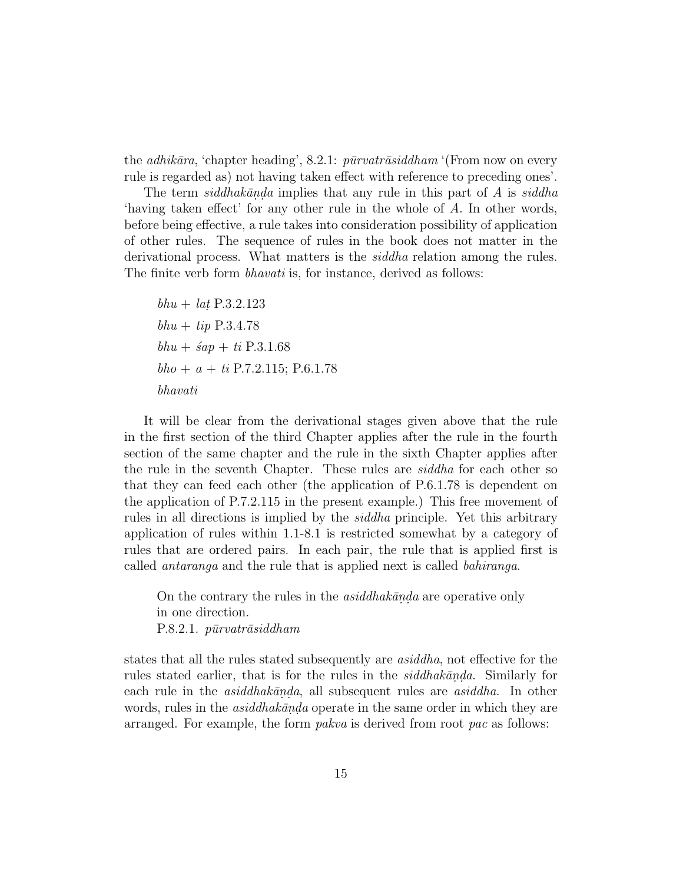the *adhikāra*, 'chapter heading', 8.2.1:  $\bar{p}\bar{u}r \bar{v} \bar{a} \bar{s} \bar{d} d\bar{h}$  (From now on every rule is regarded as) not having taken effect with reference to preceding ones'.

The term siddhakānda implies that any rule in this part of A is siddha 'having taken effect' for any other rule in the whole of A. In other words, before being effective, a rule takes into consideration possibility of application of other rules. The sequence of rules in the book does not matter in the derivational process. What matters is the *siddha* relation among the rules. The finite verb form *bhavati* is, for instance, derived as follows:

 $bhu + lat\ P.3.2.123$  $bhu + tip P.3.4.78$  $bhu + \hat{\mathfrak{s}}ap + ti\ P.3.1.68$  $bho + a + ti$  P.7.2.115; P.6.1.78 bhavati

It will be clear from the derivational stages given above that the rule in the first section of the third Chapter applies after the rule in the fourth section of the same chapter and the rule in the sixth Chapter applies after the rule in the seventh Chapter. These rules are siddha for each other so that they can feed each other (the application of P.6.1.78 is dependent on the application of P.7.2.115 in the present example.) This free movement of rules in all directions is implied by the siddha principle. Yet this arbitrary application of rules within 1.1-8.1 is restricted somewhat by a category of rules that are ordered pairs. In each pair, the rule that is applied first is called antaranga and the rule that is applied next is called bahiranga.

On the contrary the rules in the *asiddhak* $\bar{a}$ nda are operative only in one direction.  $P.8.2.1.$   $pirvatr\bar{a}siddham$ 

states that all the rules stated subsequently are asiddha, not effective for the rules stated earlier, that is for the rules in the  $sidhakānda$ . Similarly for each rule in the *asiddhakānda*, all subsequent rules are *asiddha*. In other words, rules in the  $asiddhakānda$  operate in the same order in which they are arranged. For example, the form pakva is derived from root pac as follows: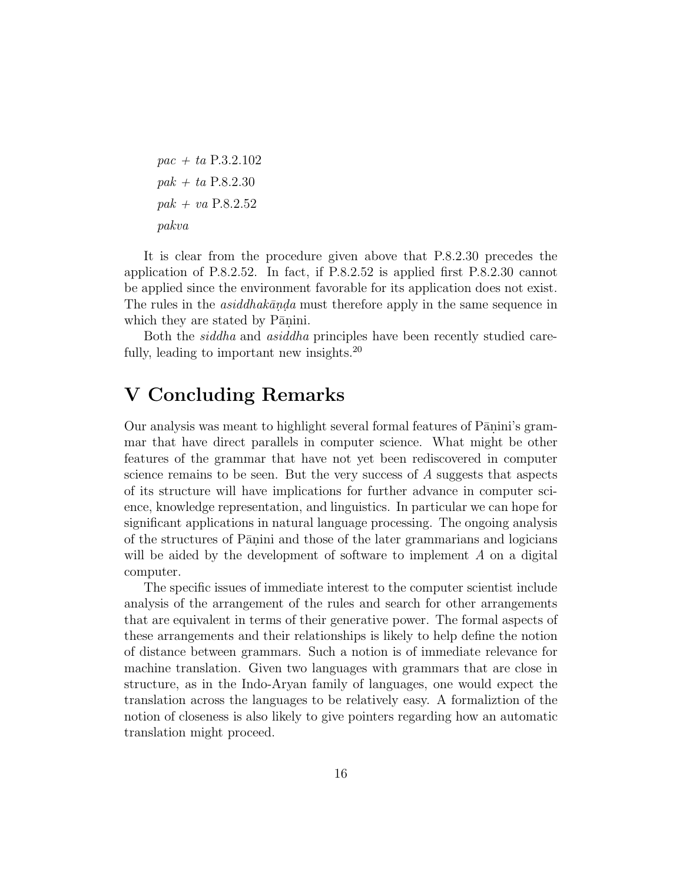```
pac + ta P.3.2.102
pak + ta P.8.2.30
pak + va P.8.2.52pakva
```
It is clear from the procedure given above that P.8.2.30 precedes the application of P.8.2.52. In fact, if P.8.2.52 is applied first P.8.2.30 cannot be applied since the environment favorable for its application does not exist. The rules in the *asiddhakānda* must therefore apply in the same sequence in which they are stated by Pānini.

Both the siddha and asiddha principles have been recently studied carefully, leading to important new insights. $^{20}$ 

## **V Concluding Remarks**

Our analysis was meant to highlight several formal features of P $\overline{a}$ nini's grammar that have direct parallels in computer science. What might be other features of the grammar that have not yet been rediscovered in computer science remains to be seen. But the very success of  $A$  suggests that aspects of its structure will have implications for further advance in computer science, knowledge representation, and linguistics. In particular we can hope for significant applications in natural language processing. The ongoing analysis of the structures of Pānini and those of the later grammarians and logicians will be aided by the development of software to implement A on a digital computer.

The specific issues of immediate interest to the computer scientist include analysis of the arrangement of the rules and search for other arrangements that are equivalent in terms of their generative power. The formal aspects of these arrangements and their relationships is likely to help define the notion of distance between grammars. Such a notion is of immediate relevance for machine translation. Given two languages with grammars that are close in structure, as in the Indo-Aryan family of languages, one would expect the translation across the languages to be relatively easy. A formaliztion of the notion of closeness is also likely to give pointers regarding how an automatic translation might proceed.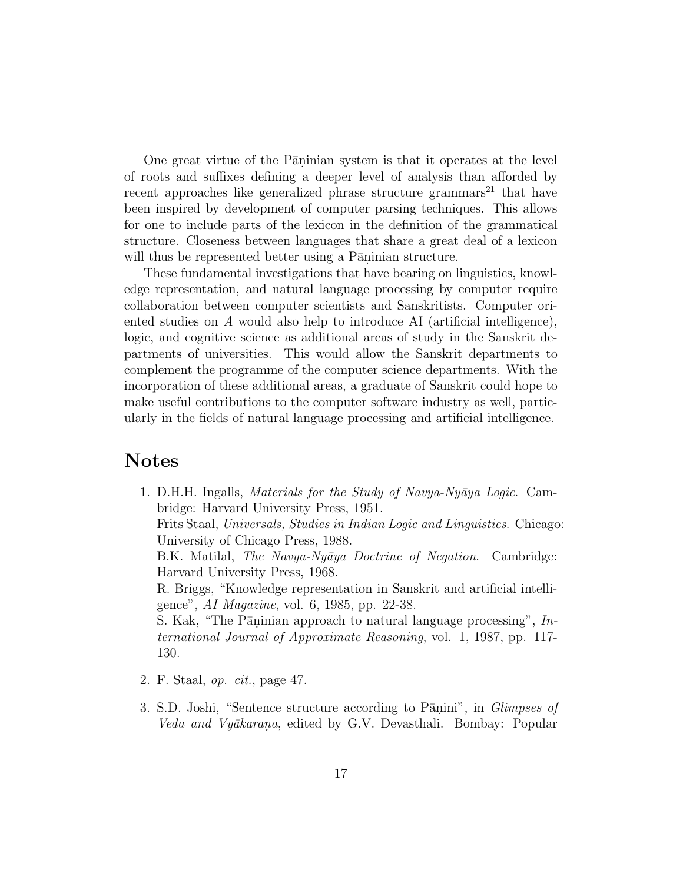One great virtue of the Pāninian system is that it operates at the level of roots and suffixes defining a deeper level of analysis than afforded by recent approaches like generalized phrase structure grammars<sup>21</sup> that have been inspired by development of computer parsing techniques. This allows for one to include parts of the lexicon in the definition of the grammatical structure. Closeness between languages that share a great deal of a lexicon will thus be represented better using a Pāninian structure.

These fundamental investigations that have bearing on linguistics, knowledge representation, and natural language processing by computer require collaboration between computer scientists and Sanskritists. Computer oriented studies on A would also help to introduce AI (artificial intelligence), logic, and cognitive science as additional areas of study in the Sanskrit departments of universities. This would allow the Sanskrit departments to complement the programme of the computer science departments. With the incorporation of these additional areas, a graduate of Sanskrit could hope to make useful contributions to the computer software industry as well, particularly in the fields of natural language processing and artificial intelligence.

### **Notes**

1. D.H.H. Ingalls, Materials for the Study of Navya-Nyāya Logic. Cambridge: Harvard University Press, 1951. Frits Staal, Universals, Studies in Indian Logic and Linguistics. Chicago: University of Chicago Press, 1988. B.K. Matilal, *The Navya-Nyāya Doctrine of Negation*. Cambridge: Harvard University Press, 1968. R. Briggs, "Knowledge representation in Sanskrit and artificial intelligence", AI Magazine, vol. 6, 1985, pp. 22-38. S. Kak, "The Pāninian approach to natural language processing",  $In$ ternational Journal of Approximate Reasoning, vol. 1, 1987, pp. 117- 130.

- 2. F. Staal, op. cit., page 47.
- 3. S.D. Joshi, "Sentence structure according to Pānini", in *Glimpses of* Veda and Vyākarana, edited by G.V. Devasthali. Bombay: Popular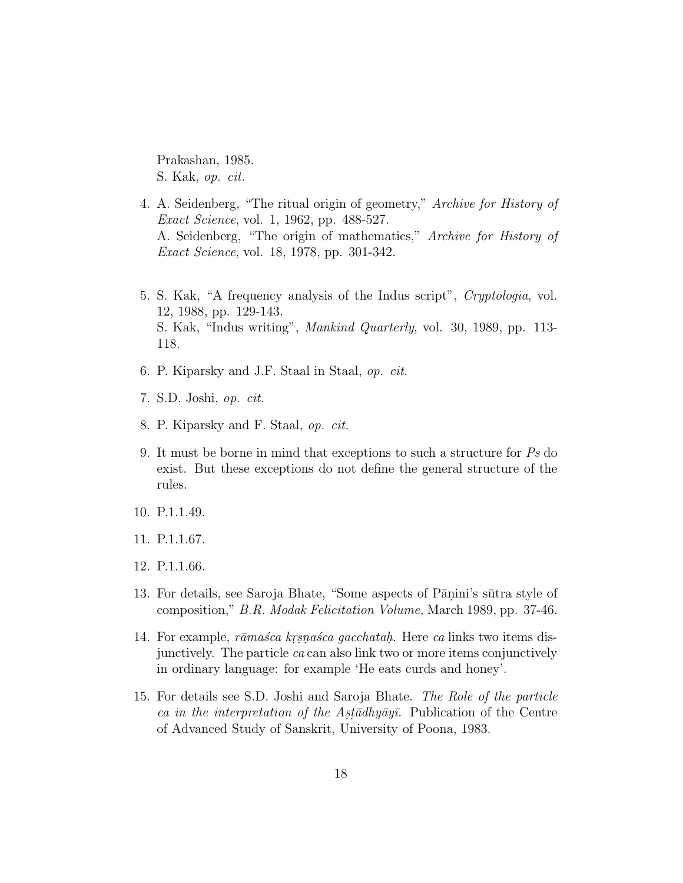Prakashan, 1985. S. Kak, op. cit.

- 4. A. Seidenberg, "The ritual origin of geometry," Archive for History of Exact Science, vol. 1, 1962, pp. 488-527. A. Seidenberg, "The origin of mathematics," Archive for History of Exact Science, vol. 18, 1978, pp. 301-342.
- 5. S. Kak, "A frequency analysis of the Indus script", Cryptologia, vol. 12, 1988, pp. 129-143. S. Kak, "Indus writing", Mankind Quarterly, vol. 30, 1989, pp. 113- 118.
- 6. P. Kiparsky and J.F. Staal in Staal, op. cit.
- 7. S.D. Joshi, op. cit.
- 8. P. Kiparsky and F. Staal, op. cit.
- 9. It must be borne in mind that exceptions to such a structure for Ps do exist. But these exceptions do not define the general structure of the rules.
- 10. P.1.1.49.
- 11. P.1.1.67.
- 12. P.1.1.66.
- 13. For details, see Saroja Bhate, "Some aspects of Pānini's sūtra style of composition," B.R. Modak Felicitation Volume, March 1989, pp. 37-46.
- 14. For example, *rāmaśca krsnaśca gacchatah*. Here *ca* links two items disjunctively. The particle ca can also link two or more items conjunctively in ordinary language: for example 'He eats curds and honey'.
- 15. For details see S.D. Joshi and Saroja Bhate. The Role of the particle ca in the interpretation of the Astadhyayi. Publication of the Centre of Advanced Study of Sanskrit, University of Poona, 1983.